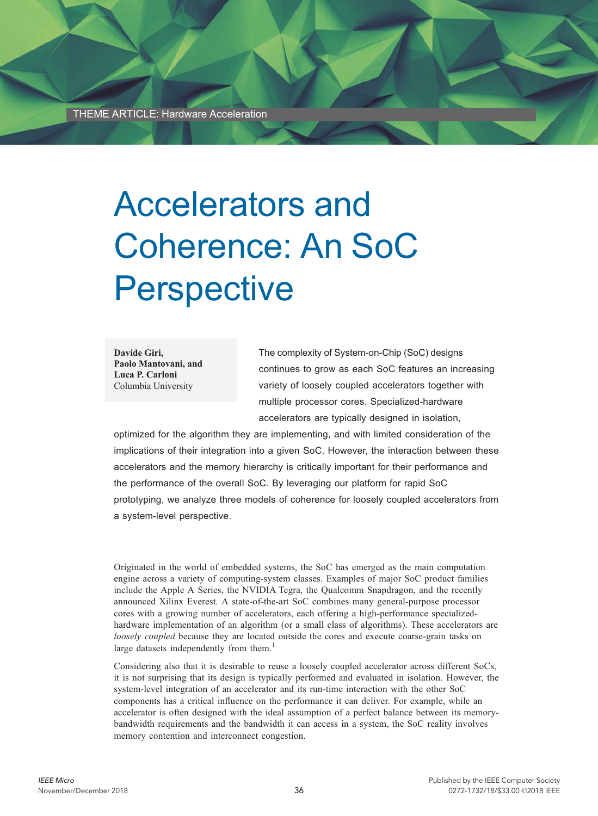THEME ARTICLE: Hardware Acceleration

# Accelerators and Coherence: An SoC **Perspective**

Davide Giri, Paolo Mantovani, and Luca P. Carloni Columbia University

The complexity of System-on-Chip (SoC) designs continues to grow as each SoC features an increasing variety of loosely coupled accelerators together with multiple processor cores. Specialized-hardware accelerators are typically designed in isolation,

optimized for the algorithm they are implementing, and with limited consideration of the implications of their integration into a given SoC. However, the interaction between these accelerators and the memory hierarchy is critically important for their performance and the performance of the overall SoC. By leveraging our platform for rapid SoC prototyping, we analyze three models of coherence for loosely coupled accelerators from a system-level perspective.

Originated in the world of embedded systems, the SoC has emerged as the main computation engine across a variety of computing-system classes. Examples of major SoC product families include the Apple A Series, the NVIDIA Tegra, the Qualcomm Snapdragon, and the recently announced Xilinx Everest. A state-of-the-art SoC combines many general-purpose processor cores with a growing number of accelerators, each offering a high-performance specializedhardware implementation of an algorithm (or a small class of algorithms). These accelerators are loosely coupled because they are located outside the cores and execute coarse-grain tasks on large datasets independently from them.<sup>1</sup>

Considering also that it is desirable to reuse a loosely coupled accelerator across different SoCs, it is not surprising that its design is typically performed and evaluated in isolation. However, the system-level integration of an accelerator and its run-time interaction with the other SoC components has a critical influence on the performance it can deliver. For example, while an accelerator is often designed with the ideal assumption of a perfect balance between its memorybandwidth requirements and the bandwidth it can access in a system, the SoC reality involves memory contention and interconnect congestion.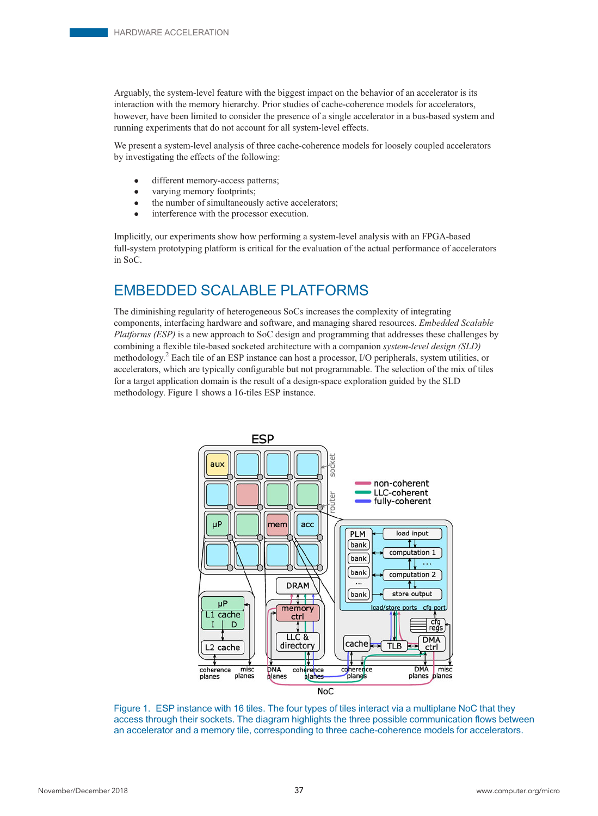Arguably, the system-level feature with the biggest impact on the behavior of an accelerator is its interaction with the memory hierarchy. Prior studies of cache-coherence models for accelerators, however, have been limited to consider the presence of a single accelerator in a bus-based system and running experiments that do not account for all system-level effects.

We present a system-level analysis of three cache-coherence models for loosely coupled accelerators by investigating the effects of the following:

- different memory-access patterns;<br>• varying memory footprints;
- varying memory footprints;<br>• the number of simultaneous
- the number of simultaneously active accelerators;
- interference with the processor execution.

Implicitly, our experiments show how performing a system-level analysis with an FPGA-based full-system prototyping platform is critical for the evaluation of the actual performance of accelerators in SoC.

# EMBEDDED SCALABLE PLATFORMS

The diminishing regularity of heterogeneous SoCs increases the complexity of integrating components, interfacing hardware and software, and managing shared resources. Embedded Scalable Platforms (ESP) is a new approach to SoC design and programming that addresses these challenges by combining a flexible tile-based socketed architecture with a companion system-level design (SLD) methodology.<sup>2</sup> Each tile of an ESP instance can host a processor, I/O peripherals, system utilities, or accelerators, which are typically configurable but not programmable. The selection of the mix of tiles for a target application domain is the result of a design-space exploration guided by the SLD methodology. Figure 1 shows a 16-tiles ESP instance.



Figure 1. ESP instance with 16 tiles. The four types of tiles interact via a multiplane NoC that they access through their sockets. The diagram highlights the three possible communication flows between an accelerator and a memory tile, corresponding to three cache-coherence models for accelerators.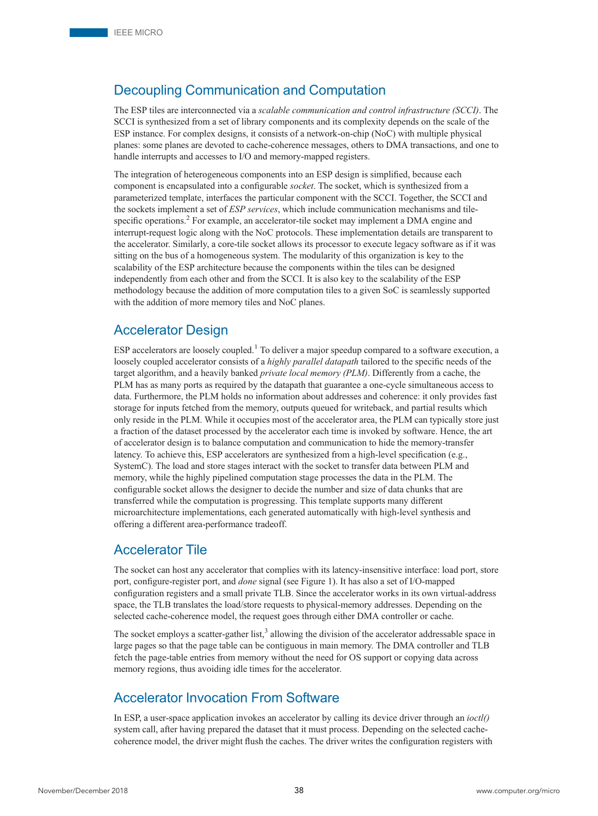## Decoupling Communication and Computation

The ESP tiles are interconnected via a scalable communication and control infrastructure (SCCI). The SCCI is synthesized from a set of library components and its complexity depends on the scale of the ESP instance. For complex designs, it consists of a network-on-chip (NoC) with multiple physical planes: some planes are devoted to cache-coherence messages, others to DMA transactions, and one to handle interrupts and accesses to I/O and memory-mapped registers.

The integration of heterogeneous components into an ESP design is simplified, because each component is encapsulated into a configurable *socket*. The socket, which is synthesized from a parameterized template, interfaces the particular component with the SCCI. Together, the SCCI and the sockets implement a set of *ESP services*, which include communication mechanisms and tilespecific operations.<sup>2</sup> For example, an accelerator-tile socket may implement a DMA engine and interrupt-request logic along with the NoC protocols. These implementation details are transparent to the accelerator. Similarly, a core-tile socket allows its processor to execute legacy software as if it was sitting on the bus of a homogeneous system. The modularity of this organization is key to the scalability of the ESP architecture because the components within the tiles can be designed independently from each other and from the SCCI. It is also key to the scalability of the ESP methodology because the addition of more computation tiles to a given SoC is seamlessly supported with the addition of more memory tiles and NoC planes.

## Accelerator Design

ESP accelerators are loosely coupled.<sup>1</sup> To deliver a major speedup compared to a software execution, a loosely coupled accelerator consists of a *highly parallel datapath* tailored to the specific needs of the target algorithm, and a heavily banked *private local memory (PLM)*. Differently from a cache, the PLM has as many ports as required by the datapath that guarantee a one-cycle simultaneous access to data. Furthermore, the PLM holds no information about addresses and coherence: it only provides fast storage for inputs fetched from the memory, outputs queued for writeback, and partial results which only reside in the PLM. While it occupies most of the accelerator area, the PLM can typically store just a fraction of the dataset processed by the accelerator each time is invoked by software. Hence, the art of accelerator design is to balance computation and communication to hide the memory-transfer latency. To achieve this, ESP accelerators are synthesized from a high-level specification (e.g., SystemC). The load and store stages interact with the socket to transfer data between PLM and memory, while the highly pipelined computation stage processes the data in the PLM. The configurable socket allows the designer to decide the number and size of data chunks that are transferred while the computation is progressing. This template supports many different microarchitecture implementations, each generated automatically with high-level synthesis and offering a different area-performance tradeoff.

## Accelerator Tile

The socket can host any accelerator that complies with its latency-insensitive interface: load port, store port, configure-register port, and done signal (see Figure 1). It has also a set of I/O-mapped configuration registers and a small private TLB. Since the accelerator works in its own virtual-address space, the TLB translates the load/store requests to physical-memory addresses. Depending on the selected cache-coherence model, the request goes through either DMA controller or cache.

The socket employs a scatter-gather list,<sup>3</sup> allowing the division of the accelerator addressable space in large pages so that the page table can be contiguous in main memory. The DMA controller and TLB fetch the page-table entries from memory without the need for OS support or copying data across memory regions, thus avoiding idle times for the accelerator.

## Accelerator Invocation From Software

In ESP, a user-space application invokes an accelerator by calling its device driver through an  $ioctl$ system call, after having prepared the dataset that it must process. Depending on the selected cachecoherence model, the driver might flush the caches. The driver writes the configuration registers with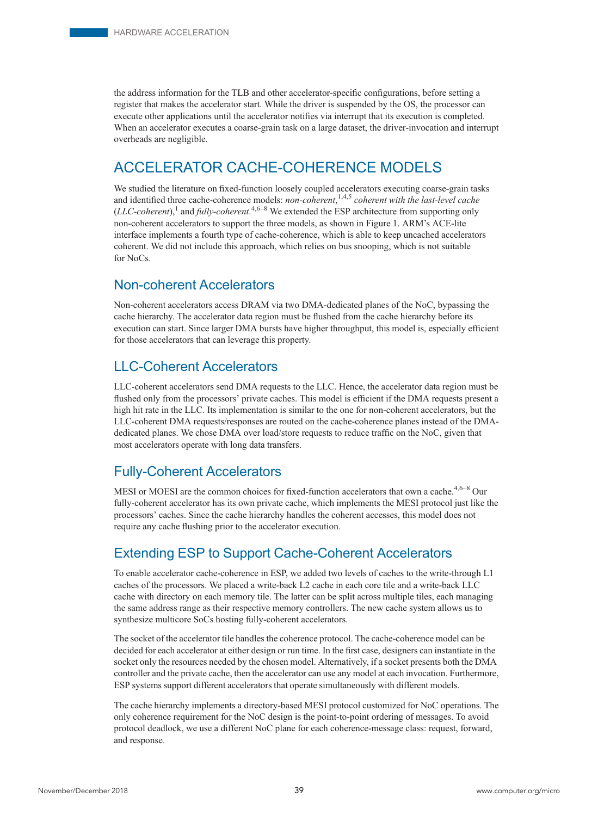the address information for the TLB and other accelerator-specific configurations, before setting a register that makes the accelerator start. While the driver is suspended by the OS, the processor can execute other applications until the accelerator notifies via interrupt that its execution is completed. When an accelerator executes a coarse-grain task on a large dataset, the driver-invocation and interrupt overheads are negligible.

# ACCELERATOR CACHE-COHERENCE MODELS

We studied the literature on fixed-function loosely coupled accelerators executing coarse-grain tasks and identified three cache-coherence models: *non-coherent*,<sup>1,4,5</sup> coherent with the last-level cache (LLC-coherent),<sup>1</sup> and fully-coherent.<sup>4,6–8</sup> We extended the ESP architecture from supporting only non-coherent accelerators to support the three models, as shown in Figure 1. ARM's ACE-lite interface implements a fourth type of cache-coherence, which is able to keep uncached accelerators coherent. We did not include this approach, which relies on bus snooping, which is not suitable  $for NoCe$ 

## Non-coherent Accelerators

Non-coherent accelerators access DRAM via two DMA-dedicated planes of the NoC, bypassing the cache hierarchy. The accelerator data region must be flushed from the cache hierarchy before its execution can start. Since larger DMA bursts have higher throughput, this model is, especially efficient for those accelerators that can leverage this property.

## LLC-Coherent Accelerators

LLC-coherent accelerators send DMA requests to the LLC. Hence, the accelerator data region must be flushed only from the processors' private caches. This model is efficient if the DMA requests present a high hit rate in the LLC. Its implementation is similar to the one for non-coherent accelerators, but the LLC-coherent DMA requests/responses are routed on the cache-coherence planes instead of the DMAdedicated planes. We chose DMA over load/store requests to reduce traffic on the NoC, given that most accelerators operate with long data transfers.

## Fully-Coherent Accelerators

MESI or MOESI are the common choices for fixed-function accelerators that own a cache.<sup>4,6–8</sup> Our fully-coherent accelerator has its own private cache, which implements the MESI protocol just like the processors' caches. Since the cache hierarchy handles the coherent accesses, this model does not require any cache flushing prior to the accelerator execution.

# Extending ESP to Support Cache-Coherent Accelerators

To enable accelerator cache-coherence in ESP, we added two levels of caches to the write-through L1 caches of the processors. We placed a write-back L2 cache in each core tile and a write-back LLC cache with directory on each memory tile. The latter can be split across multiple tiles, each managing the same address range as their respective memory controllers. The new cache system allows us to synthesize multicore SoCs hosting fully-coherent accelerators.

The socket of the accelerator tile handles the coherence protocol. The cache-coherence model can be decided for each accelerator at either design or run time. In the first case, designers can instantiate in the socket only the resources needed by the chosen model. Alternatively, if a socket presents both the DMA controller and the private cache, then the accelerator can use any model at each invocation. Furthermore, ESP systems support different accelerators that operate simultaneously with different models.

The cache hierarchy implements a directory-based MESI protocol customized for NoC operations. The only coherence requirement for the NoC design is the point-to-point ordering of messages. To avoid protocol deadlock, we use a different NoC plane for each coherence-message class: request, forward, and response.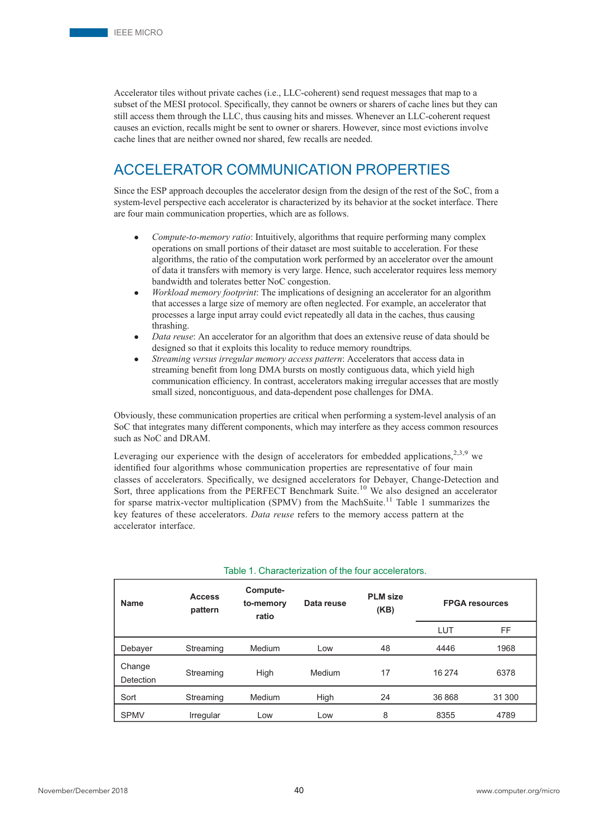Accelerator tiles without private caches (i.e., LLC-coherent) send request messages that map to a subset of the MESI protocol. Specifically, they cannot be owners or sharers of cache lines but they can still access them through the LLC, thus causing hits and misses. Whenever an LLC-coherent request causes an eviction, recalls might be sent to owner or sharers. However, since most evictions involve cache lines that are neither owned nor shared, few recalls are needed.

# ACCELERATOR COMMUNICATION PROPERTIES

Since the ESP approach decouples the accelerator design from the design of the rest of the SoC, from a system-level perspective each accelerator is characterized by its behavior at the socket interface. There are four main communication properties, which are as follows.

- Compute-to-memory ratio: Intuitively, algorithms that require performing many complex operations on small portions of their dataset are most suitable to acceleration. For these algorithms, the ratio of the computation work performed by an accelerator over the amount of data it transfers with memory is very large. Hence, such accelerator requires less memory bandwidth and tolerates better NoC congestion.
- Workload memory footprint: The implications of designing an accelerator for an algorithm that accesses a large size of memory are often neglected. For example, an accelerator that processes a large input array could evict repeatedly all data in the caches, thus causing thrashing.
- Data reuse: An accelerator for an algorithm that does an extensive reuse of data should be designed so that it exploits this locality to reduce memory roundtrips.
- Streaming versus irregular memory access pattern: Accelerators that access data in streaming benefit from long DMA bursts on mostly contiguous data, which yield high communication efficiency. In contrast, accelerators making irregular accesses that are mostly small sized, noncontiguous, and data-dependent pose challenges for DMA.

Obviously, these communication properties are critical when performing a system-level analysis of an SoC that integrates many different components, which may interfere as they access common resources such as NoC and DRAM.

Leveraging our experience with the design of accelerators for embedded applications, $2,3,9$  we identified four algorithms whose communication properties are representative of four main classes of accelerators. Specifically, we designed accelerators for Debayer, Change-Detection and Sort, three applications from the PERFECT Benchmark Suite.<sup>10</sup> We also designed an accelerator for sparse matrix-vector multiplication (SPMV) from the MachSuite.<sup>11</sup> Table 1 summarizes the key features of these accelerators. Data reuse refers to the memory access pattern at the accelerator interface.

| <b>Name</b>         | <b>Access</b><br>pattern | Compute-<br>to-memory<br>ratio | Data reuse | <b>PLM</b> size<br>(KB) | <b>FPGA</b> resources |           |
|---------------------|--------------------------|--------------------------------|------------|-------------------------|-----------------------|-----------|
|                     |                          |                                |            |                         | LUT                   | <b>FF</b> |
| Debayer             | Streaming                | Medium                         | Low        | 48                      | 4446                  | 1968      |
| Change<br>Detection | Streaming                | High                           | Medium     | 17                      | 16 274                | 6378      |
| Sort                | Streaming                | Medium                         | High       | 24                      | 36868                 | 31 300    |
| <b>SPMV</b>         | Irregular                | Low                            | Low        | 8                       | 8355                  | 4789      |

#### Table 1. Characterization of the four accelerators.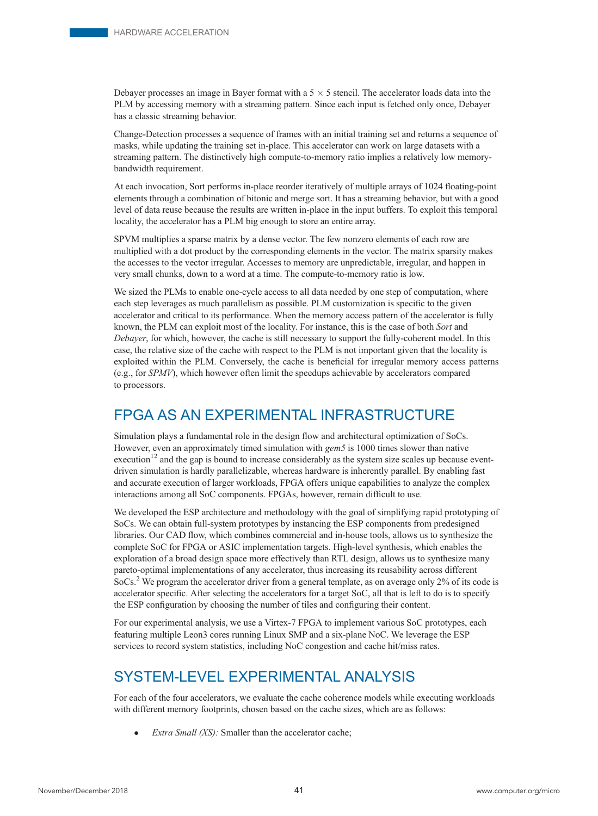Debayer processes an image in Bayer format with a  $5 \times 5$  stencil. The accelerator loads data into the PLM by accessing memory with a streaming pattern. Since each input is fetched only once, Debayer has a classic streaming behavior.

Change-Detection processes a sequence of frames with an initial training set and returns a sequence of masks, while updating the training set in-place. This accelerator can work on large datasets with a streaming pattern. The distinctively high compute-to-memory ratio implies a relatively low memorybandwidth requirement.

At each invocation, Sort performs in-place reorder iteratively of multiple arrays of 1024 floating-point elements through a combination of bitonic and merge sort. It has a streaming behavior, but with a good level of data reuse because the results are written in-place in the input buffers. To exploit this temporal locality, the accelerator has a PLM big enough to store an entire array.

SPVM multiplies a sparse matrix by a dense vector. The few nonzero elements of each row are multiplied with a dot product by the corresponding elements in the vector. The matrix sparsity makes the accesses to the vector irregular. Accesses to memory are unpredictable, irregular, and happen in very small chunks, down to a word at a time. The compute-to-memory ratio is low.

We sized the PLMs to enable one-cycle access to all data needed by one step of computation, where each step leverages as much parallelism as possible. PLM customization is specific to the given accelerator and critical to its performance. When the memory access pattern of the accelerator is fully known, the PLM can exploit most of the locality. For instance, this is the case of both Sort and Debayer, for which, however, the cache is still necessary to support the fully-coherent model. In this case, the relative size of the cache with respect to the PLM is not important given that the locality is exploited within the PLM. Conversely, the cache is beneficial for irregular memory access patterns (e.g., for SPMV), which however often limit the speedups achievable by accelerators compared to processors.

# FPGA AS AN EXPERIMENTAL INFRASTRUCTURE

Simulation plays a fundamental role in the design flow and architectural optimization of SoCs. However, even an approximately timed simulation with gem5 is 1000 times slower than native execution<sup>12</sup> and the gap is bound to increase considerably as the system size scales up because eventdriven simulation is hardly parallelizable, whereas hardware is inherently parallel. By enabling fast and accurate execution of larger workloads, FPGA offers unique capabilities to analyze the complex interactions among all SoC components. FPGAs, however, remain difficult to use.

We developed the ESP architecture and methodology with the goal of simplifying rapid prototyping of SoCs. We can obtain full-system prototypes by instancing the ESP components from predesigned libraries. Our CAD flow, which combines commercial and in-house tools, allows us to synthesize the complete SoC for FPGA or ASIC implementation targets. High-level synthesis, which enables the exploration of a broad design space more effectively than RTL design, allows us to synthesize many pareto-optimal implementations of any accelerator, thus increasing its reusability across different SoCs.2 We program the accelerator driver from a general template, as on average only 2% of its code is accelerator specific. After selecting the accelerators for a target SoC, all that is left to do is to specify the ESP configuration by choosing the number of tiles and configuring their content.

For our experimental analysis, we use a Virtex-7 FPGA to implement various SoC prototypes, each featuring multiple Leon3 cores running Linux SMP and a six-plane NoC. We leverage the ESP services to record system statistics, including NoC congestion and cache hit/miss rates.

# SYSTEM-LEVEL EXPERIMENTAL ANALYSIS

For each of the four accelerators, we evaluate the cache coherence models while executing workloads with different memory footprints, chosen based on the cache sizes, which are as follows:

Extra Small (XS): Smaller than the accelerator cache;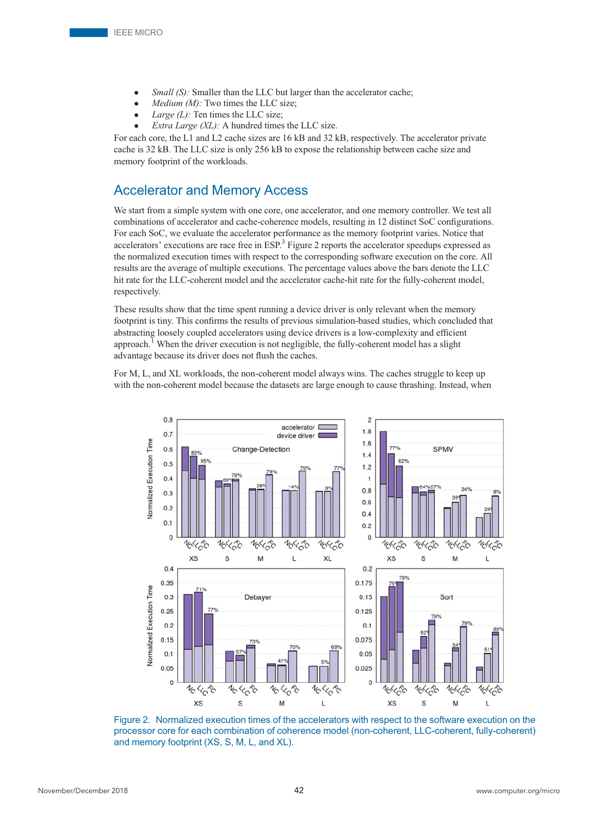- Small (S): Smaller than the LLC but larger than the accelerator cache;
- $Median (M): Two times the LLC size;$
- Large  $(L)$ : Ten times the LLC size;
- Extra Large (XL): A hundred times the LLC size.

For each core, the L1 and L2 cache sizes are 16 kB and 32 kB, respectively. The accelerator private cache is 32 kB. The LLC size is only 256 kB to expose the relationship between cache size and memory footprint of the workloads.

## Accelerator and Memory Access

We start from a simple system with one core, one accelerator, and one memory controller. We test all combinations of accelerator and cache-coherence models, resulting in 12 distinct SoC configurations. For each SoC, we evaluate the accelerator performance as the memory footprint varies. Notice that accelerators' executions are race free in ESP.<sup>3</sup> Figure 2 reports the accelerator speedups expressed as the normalized execution times with respect to the corresponding software execution on the core. All results are the average of multiple executions. The percentage values above the bars denote the LLC hit rate for the LLC-coherent model and the accelerator cache-hit rate for the fully-coherent model, respectively.

These results show that the time spent running a device driver is only relevant when the memory footprint is tiny. This confirms the results of previous simulation-based studies, which concluded that abstracting loosely coupled accelerators using device drivers is a low-complexity and efficient approach.<sup>1</sup> When the driver execution is not negligible, the fully-coherent model has a slight advantage because its driver does not flush the caches.

For M, L, and XL workloads, the non-coherent model always wins. The caches struggle to keep up with the non-coherent model because the datasets are large enough to cause thrashing. Instead, when



Figure 2. Normalized execution times of the accelerators with respect to the software execution on the processor core for each combination of coherence model (non-coherent, LLC-coherent, fully-coherent) and memory footprint (XS, S, M, L, and XL).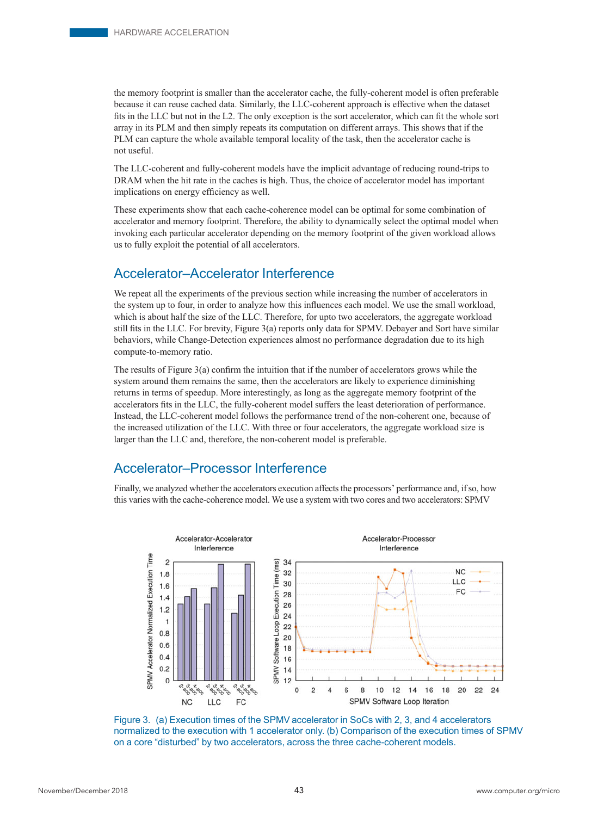the memory footprint is smaller than the accelerator cache, the fully-coherent model is often preferable because it can reuse cached data. Similarly, the LLC-coherent approach is effective when the dataset fits in the LLC but not in the L2. The only exception is the sort accelerator, which can fit the whole sort array in its PLM and then simply repeats its computation on different arrays. This shows that if the PLM can capture the whole available temporal locality of the task, then the accelerator cache is not useful.

The LLC-coherent and fully-coherent models have the implicit advantage of reducing round-trips to DRAM when the hit rate in the caches is high. Thus, the choice of accelerator model has important implications on energy efficiency as well.

These experiments show that each cache-coherence model can be optimal for some combination of accelerator and memory footprint. Therefore, the ability to dynamically select the optimal model when invoking each particular accelerator depending on the memory footprint of the given workload allows us to fully exploit the potential of all accelerators.

## Accelerator–Accelerator Interference

We repeat all the experiments of the previous section while increasing the number of accelerators in the system up to four, in order to analyze how this influences each model. We use the small workload, which is about half the size of the LLC. Therefore, for upto two accelerators, the aggregate workload still fits in the LLC. For brevity, Figure 3(a) reports only data for SPMV. Debayer and Sort have similar behaviors, while Change-Detection experiences almost no performance degradation due to its high compute-to-memory ratio.

The results of Figure  $3(a)$  confirm the intuition that if the number of accelerators grows while the system around them remains the same, then the accelerators are likely to experience diminishing returns in terms of speedup. More interestingly, as long as the aggregate memory footprint of the accelerators fits in the LLC, the fully-coherent model suffers the least deterioration of performance. Instead, the LLC-coherent model follows the performance trend of the non-coherent one, because of the increased utilization of the LLC. With three or four accelerators, the aggregate workload size is larger than the LLC and, therefore, the non-coherent model is preferable.

## Accelerator–Processor Interference

Finally, we analyzed whether the accelerators execution affects the processors' performance and, if so, how this varies with the cache-coherence model. We use a system with two cores and two accelerators: SPMV



Figure 3. (a) Execution times of the SPMV accelerator in SoCs with 2, 3, and 4 accelerators normalized to the execution with 1 accelerator only. (b) Comparison of the execution times of SPMV on a core "disturbed" by two accelerators, across the three cache-coherent models.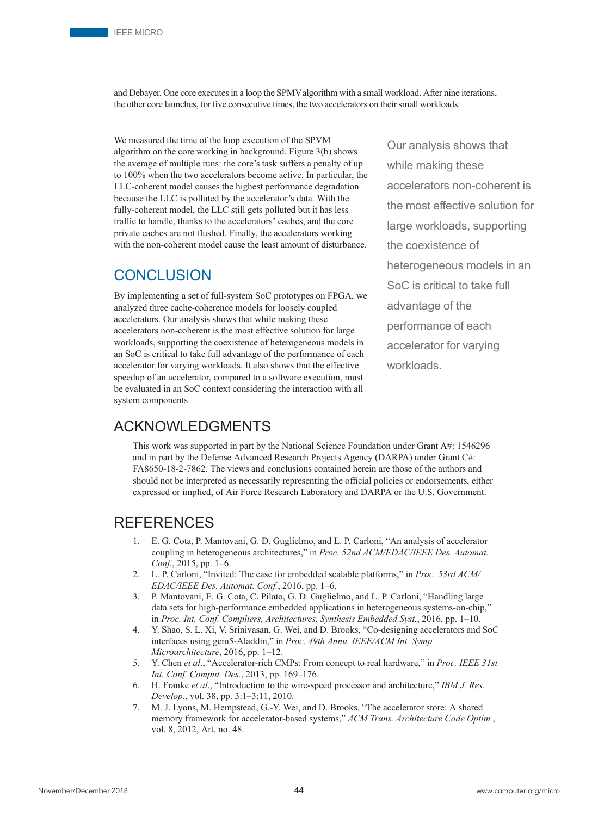and Debayer. One core executes in a loop the SPMValgorithm with a small workload. After nine iterations, the other core launches, for five consecutive times, the two accelerators on their small workloads.

We measured the time of the loop execution of the SPVM algorithm on the core working in background. Figure 3(b) shows the average of multiple runs: the core's task suffers a penalty of up to 100% when the two accelerators become active. In particular, the LLC-coherent model causes the highest performance degradation because the LLC is polluted by the accelerator's data. With the fully-coherent model, the LLC still gets polluted but it has less traffic to handle, thanks to the accelerators' caches, and the core private caches are not flushed. Finally, the accelerators working with the non-coherent model cause the least amount of disturbance.

## CONCLUSION

By implementing a set of full-system SoC prototypes on FPGA, we analyzed three cache-coherence models for loosely coupled accelerators. Our analysis shows that while making these accelerators non-coherent is the most effective solution for large workloads, supporting the coexistence of heterogeneous models in an SoC is critical to take full advantage of the performance of each accelerator for varying workloads. It also shows that the effective speedup of an accelerator, compared to a software execution, must be evaluated in an SoC context considering the interaction with all system components.

Our analysis shows that while making these accelerators non-coherent is the most effective solution for large workloads, supporting the coexistence of heterogeneous models in an SoC is critical to take full advantage of the performance of each accelerator for varying workloads.

# ACKNOWLEDGMENTS

This work was supported in part by the National Science Foundation under Grant A#: 1546296 and in part by the Defense Advanced Research Projects Agency (DARPA) under Grant C#: FA8650-18-2-7862. The views and conclusions contained herein are those of the authors and should not be interpreted as necessarily representing the official policies or endorsements, either expressed or implied, of Air Force Research Laboratory and DARPA or the U.S. Government.

# REFERENCES

- 1. E. G. Cota, P. Mantovani, G. D. Guglielmo, and L. P. Carloni, "An analysis of accelerator coupling in heterogeneous architectures," in Proc. 52nd ACM/EDAC/IEEE Des. Automat. Conf., 2015, pp. 1–6.
- 2. L. P. Carloni, "Invited: The case for embedded scalable platforms," in Proc. 53rd ACM/ EDAC/IEEE Des. Automat. Conf., 2016, pp. 1–6.
- 3. P. Mantovani, E. G. Cota, C. Pilato, G. D. Guglielmo, and L. P. Carloni, "Handling large data sets for high-performance embedded applications in heterogeneous systems-on-chip," in Proc. Int. Conf. Compliers, Architectures, Synthesis Embedded Syst., 2016, pp. 1–10.
- 4. Y. Shao, S. L. Xi, V. Srinivasan, G. Wei, and D. Brooks, "Co-designing accelerators and SoC interfaces using gem5-Aladdin," in Proc. 49th Annu. IEEE/ACM Int. Symp. Microarchitecture, 2016, pp. 1–12.
- 5. Y. Chen et al., "Accelerator-rich CMPs: From concept to real hardware," in Proc. IEEE 31st Int. Conf. Comput. Des., 2013, pp. 169–176.
- 6. H. Franke et al., "Introduction to the wire-speed processor and architecture," IBM J. Res. Develop., vol. 38, pp. 3:1–3:11, 2010.
- 7. M. J. Lyons, M. Hempstead, G.-Y. Wei, and D. Brooks, "The accelerator store: A shared memory framework for accelerator-based systems," ACM Trans. Architecture Code Optim., vol. 8, 2012, Art. no. 48.